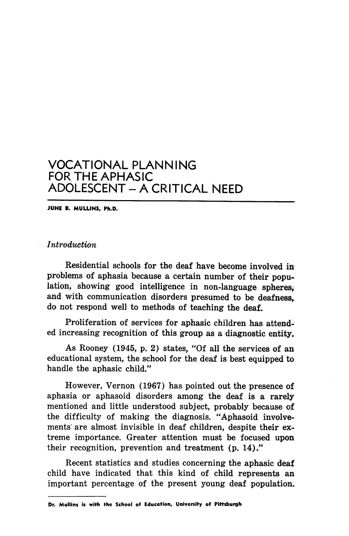JUNE B. MULLINS, Ph.D.

Introduction

Residential schools for the deaf have become involved in problems of aphasia because a certain number of their popu lation, showing good intelligence in non-language spheres, and with communication disorders presumed to be deafness, do not respond well to methods of teaching the deaf.

Proliferation of services for aphasic children has attend ed increasing recognition of this group as a diagnostic entity.

As Rooney (1945, p. 2) states, "Of all the services of an educational system, the school for the deaf is best equipped to handle the aphasic child."

However, Vernon (1967) has pointed out the presence of aphasia or aphasoid disorders among the deaf is a rarely mentioned and little understood subject, probably because of the difficulty of making the diagnosis. "Aphasoid involve ments' are almost invisible in deaf children, despite their ex treme importance. Greater attention must be focused upon their recognition, prevention and treatment (p. 14)."

Recent statistics and studies concerning the aphasic deaf child have indicated that this kind of child represents an important percentage of the present young deaf population.

Dr. Mullins is with the School of Education, University of Pittsburgh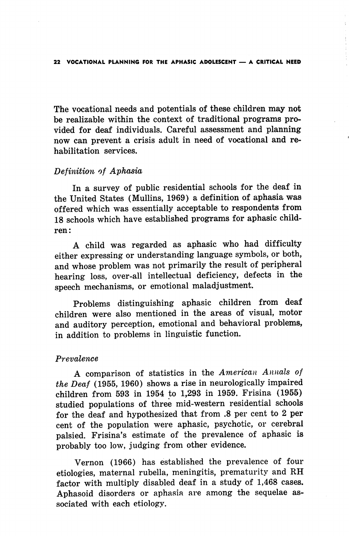The vocational needs and potentials of these children may not be realizable within the context of traditional programs pro vided for deaf individuals. Careful assessment and planning now can prevent a crisis adult in need of vocational and re habilitation services.

# Definition of Aphasia

In a survey of public residential schools for the deaf in the United States (Mullins, 1969) a definition of aphasia was offered which was essentially acceptable to respondents from 18 schools which have established programs for aphasic child ren:

A child was regarded as aphasic who had difficulty either expressing or understanding language symbols, or both, and whose problem was not primarily the result of peripheral hearing loss, over-all intellectual deficiency, defects in the speech mechanisms, or emotional maladjustment.

Problems distinguishing aphasic children from deaf children were also mentioned in the areas of visual, motor and auditory perception, emotional and behavioral problems, in addition to problems in linguistic function.

## Prevalence

A comparison of statistics in the American Annals of the Deaf (1955, 1960) shows a rise in neurologically impaired children from 593 in 1954 to 1,298 in 1959. Frisina (1955) studied populations of three mid-western residential schools for the deaf and hypothesized that from .8 per cent to 2 per cent of the population were aphasic, psychotic, or cerebral palsied. Frisina's estimate of the prevalence of aphasic is probably too low, judging from other evidence.

Vernon (1966) has established the prevalence of four etiologies, maternal rubella, meningitis, prematurity and RH factor with multiply disabled deaf in a study of 1,468 cases. Aphasoid disorders or aphasia are among the sequelae as sociated with each etiology.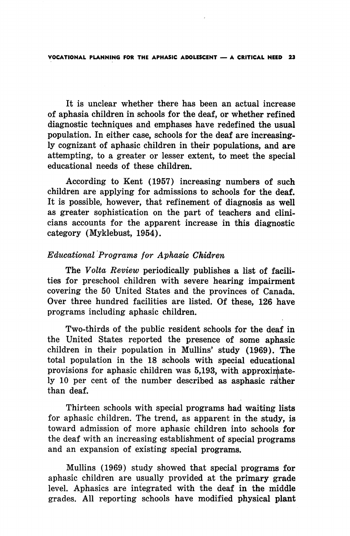It is unclear whether there has been an actual increase of aphasia children in schools for the deaf, or whether refined diagnostic techniques and emphases have redefined the usual population. In either case, schools for the deaf are increasing ly cognizant of aphasic children in their populations, and are attempting, to a greater or lesser extent, to meet the special educational needs of these children.

According to Kent (1957) increasing numbers of such children are applying for admissions to schools for the deaf. It is possible, however, that refinement of diagnosis as well as greater sophistication on the part of teachers and clini cians accounts for the apparent increase in this diagnostic category (Myklebust, 1954).

### Educational Programs for Aphasic Chidren

The Volta Review periodically publishes a list of facilities for preschool children with severe hearing impairment covering the 50 United States and the provinces of Canada. Over three hundred facilities are listed. Of these, 126 have programs including aphasic children.

Two-thirds of the public resident schools for the deaf in the United States reported the presence of some aphasic children in their population in Mullins' study (1969). The total population in the 18 schools with special educational provisions for aphasic children was 5,193, with approximately 10 per cent of the number described as asphasic rather than deaf.

Thirteen schools with special programs had waiting lists for aphasic children. The trend, as apparent in the study, is toward admission of more aphasic children into schools for the deaf with an increasing establishment of special programs and an expansion of existing special programs.

Mullins (1969) study showed that special programs for aphasic children are usually provided at the primary grade level. Aphasics are integrated with the deaf in the middle grades. All reporting schools have modified physical plant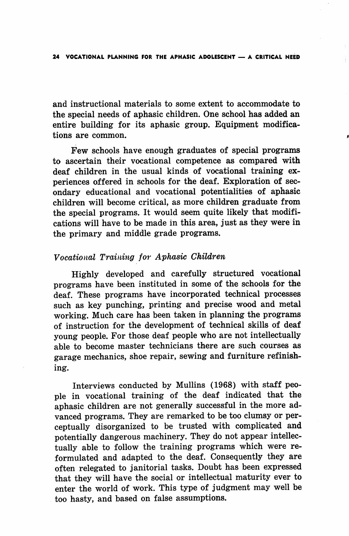and instructional materials to some extent to accommodate to the special needs of aphasic children. One school has added an entire building for its aphasic group. Equipment modifica tions are common.

Few schools have enough graduates of special programs to ascertain their vocational competence as compared with deaf children in the usual kinds of vocational training ex periences offered in schools for the deaf. Exploration of sec ondary educational and vocational potentialities of aphasic children will become critical, as more children graduate from the special programs. It would seem quite likely that modifi cations will have to be made in this area, just as they were in the primary and middle grade programs.

## Vocational Training for Aphasic Children

Highly developed and carefully structured vocational programs have been instituted in some of the schools for the deaf. These programs have incorporated technical processes such as key punching, printing and precise wood and metal working. Much care has been taken in planning the programs of instruction for the development of technical skills of deaf young people. For those deaf people who are not intellectually able to become master technicians there are such courses as garage mechanics, shoe repair, sewing and furniture refinishing.

Interviews conducted by Mullins (1968) with staff peo ple in vocational training of the deaf indicated that the aphasic children are not generally successful in the more ad vanced programs. They are remarked to be too clumsy or per ceptually disorganized to be trusted with complicated and potentially dangerous machinery. They do not appear intellec tually able to follow the training programs which were re formulated and adapted to the deaf. Consequently they are often relegated to janitorial tasks. Doubt has been expressed that they will have the social or intellectual maturity ever to enter the world of work. This type of judgment may well be too hasty, and based on false assumptions.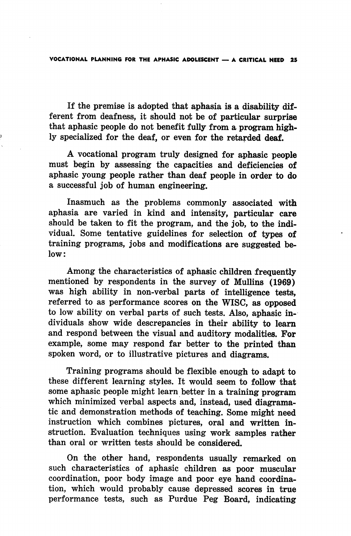If the premise is adopted that aphasia is a disability dif ferent from deafness, it should not be of particular surprise that aphasic people do not benefit fully from a program high ly specialized for the deaf, or even for the retarded deaf.

A vocational program truly designed for aphasic people must begin by assessing the capacities and deficiencies of aphasic young people rather than deaf people in order to do a successful job of human engineering.

Inasmuch as the problems commonly associated with aphasia are varied in kind and intensity, particular care should be taken to fit the program, and the job, to the indi vidual. Some tentative guidelines for selection of types of training programs, jobs and modifications are suggested be low:

Among the characteristics of aphasic children frequently mentioned by respondents in the survey of Mullins (1969) was high ability in non-verbal parts of intelligence tests, referred to as performance scores on the WISC, as opposed to low ability on verbal parts of such tests. Also, aphasic in dividuals show wide descrepancies in their ability to leam and respond between the visual and auditory modalities. For example, some may respond far better to the printed than spoken word, or to illustrative pictures and diagrams.

Training programs should be flexible enough to adapt to these different learning styles. It would seem to follow that some aphasic people might learn better in a training program which minimized verbal aspects and, instead, used diagramatic and demonstration methods of teaching. Some might need instruction which combines pictures, oral and written in struction. Evaluation techniques using work samples rather than oral or written tests should be considered.

On the other hand, respondents usually remarked on such characteristics of aphasic children as poor muscular coordination, poor body image and poor eye hand coordina tion, which would probably cause depressed scores in true performance tests, such as Purdue Peg Board, indicating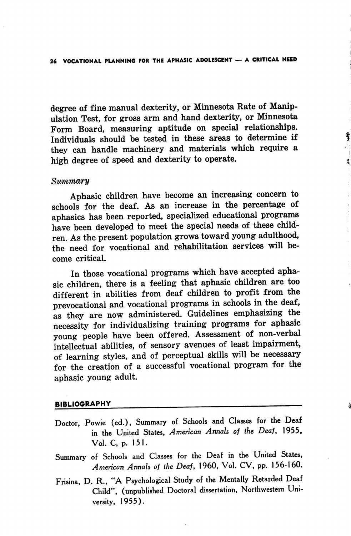degree of fine manual dexterity, or Minnesota Rate of Manip ulation Test, for gross arm and hand dexterity, or Minnesota Form Board, measuring aptitude on special relationships. Individuals should be tested in these areas to determine if they can handle machinery and materials which require a high degree of speed and dexterity to operate.

¢

#### Summary

Aphasic children have become an increasing concern to schools for the deaf. As an increase in the percentage of aphasics has been reported, specialized educational programs have been developed to meet the special needs of these child ren. As the present population grows toward young adulthood, the need for vocational and rehabilitation services will be come critical.

In those vocational programs which have accepted apha sic children, there is a feeling that aphasic children are too different in abilities from deaf children to profit from the prevocational and vocational programs in schools in the deaf, as they are now administered. Guidelines emphasizing the necessity for individualizing training programs for aphasic young people have been offered. Assessment of non-verbal intellectual abilities, of sensory avenues of least impairment, of learning styles, and of perceptual skills will be necessary for the creation of a successful vocational program for the aphasic young adult.

#### BIBLIOGRAPHY

- Doctor, Powie (ed.), Summary of Schools and Classes for the Deaf in the United States, American Annals of the Deaf, 1955, Vol. C, p. 151.
- Summary of Schools and Classes for the Deaf in the United States, American Annals of the Deaf, 1960, Vol. CV, pp. 156-160.
- Frisina, D. R., "A Psychological Study of the Mentally Retarded Deaf Child", (unpublished Doctoral dissertation. Northwestern Uni versity, 1955).